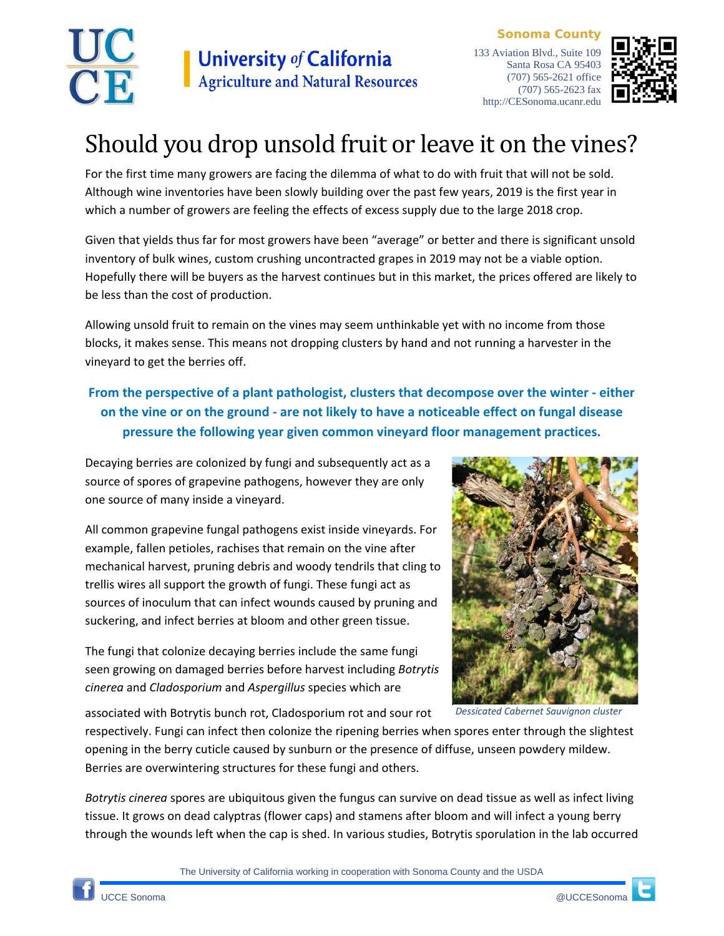

**Sonoma County** 133 Aviation Blvd., Suite 109 Santa Rosa CA 95403 (707) 565-2621 office (707) 565-2623 fax http://CESonoma.ucanr.edu



## Should you drop unsold fruit or leave it on the vines?

For the first time many growers are facing the dilemma of what to do with fruit that will not be sold. Although wine inventories have been slowly building over the past few years, 2019 is the first year in which a number of growers are feeling the effects of excess supply due to the large 2018 crop.

Given that yields thus far for most growers have been "average" or better and there is significant unsold inventory of bulk wines, custom crushing uncontracted grapes in 2019 may not be a viable option. Hopefully there will be buyers as the harvest continues but in this market, the prices offered are likely to be less than the cost of production.

Allowing unsold fruit to remain on the vines may seem unthinkable yet with no income from those blocks, it makes sense. This means not dropping clusters by hand and not running a harvester in the vineyard to get the berries off.

## **From the perspective of a plant pathologist, clusters that decompose over the winter - either on the vine or on the ground - are not likely to have a noticeable effect on fungal disease pressure the following year given common vineyard floor management practices.**

Decaying berries are colonized by fungi and subsequently act as a source of spores of grapevine pathogens, however they are only one source of many inside a vineyard.

All common grapevine fungal pathogens exist inside vineyards. For example, fallen petioles, rachises that remain on the vine after mechanical harvest, pruning debris and woody tendrils that cling to trellis wires all support the growth of fungi. These fungi act as sources of inoculum that can infect wounds caused by pruning and suckering, and infect berries at bloom and other green tissue.

The fungi that colonize decaying berries include the same fungi seen growing on damaged berries before harvest including *Botrytis cinerea* and *Cladosporium* and *Aspergillus* species which are

associated with Botrytis bunch rot, Cladosporium rot and sour rot



*Dessicated Cabernet Sauvignon cluster*

respectively. Fungi can infect then colonize the ripening berries when spores enter through the slightest opening in the berry cuticle caused by sunburn or the presence of diffuse, unseen powdery mildew. Berries are overwintering structures for these fungi and others.

*Botrytis cinerea* spores are ubiquitous given the fungus can survive on dead tissue as well as infect living tissue. It grows on dead calyptras (flower caps) and stamens after bloom and will infect a young berry through the wounds left when the cap is shed. In various studies, Botrytis sporulation in the lab occurred

The University of California working in cooperation with Sonoma County and the USDA